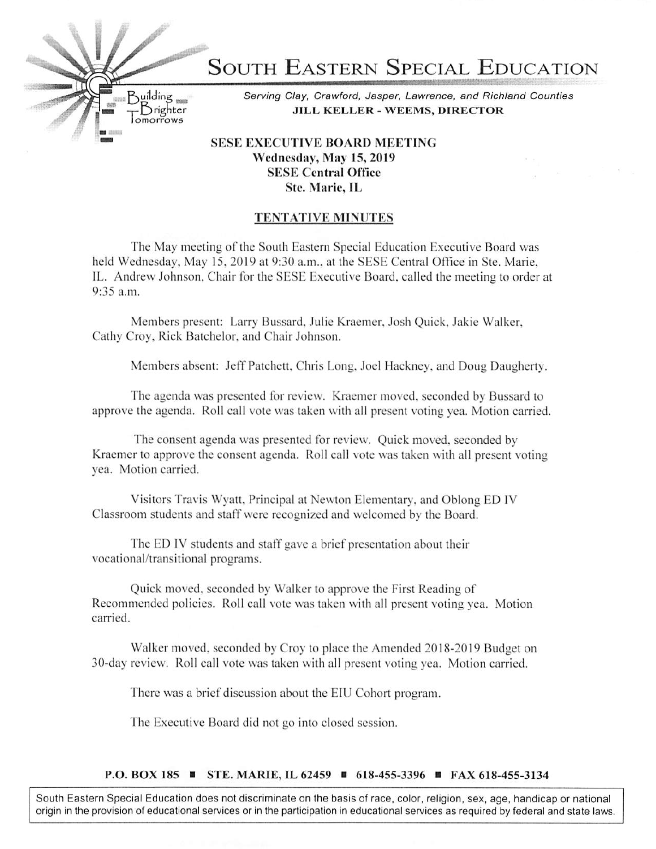

## Wednesday, May 15,2019 SESE Central Office Stc. Marie, IL

## TENTATIVE MINUTES

The May meeting of the South Eastern Special Education Executive Board was held Wednesday. May 15. 2019 at 9:30 a.m.. at the SESE Central Office in Ste. Marie. IL. Andrew Johnson, Chair for the SESE Executive Board, called the meeting to order at 9:35 a.m.

Members present: Larry Bussard, Julie Kraemer, Josh Quick, Jakie Walker, Cathy Croy. Rick Batehelor. and Chair Johnson.

Members absent: Jeff Patchett. Chris Long, Joel Hackney, and Doug Daugherty.

The agenda was presented for review. Kraemer moved, seconded by Bussard to approve the agenda. Roll call vole was taken with all present voting yea. Motion carried.

The consent agenda was presented for review. Quick moved, seconded by Kraemer to approve the consent agenda. Roll call vote was taken with all present voting yea. Motion carried.

Visitors Travis Wyatt. Principal at Newton Elementary, and Oblong ED IV Classroom students and staff were recognized and welcomed by the Board.

The ED IV students and staff gave a brief presentation about their vocational/transitional programs.

Quick moved, seconded by Walker to approve the First Reading of Recommended policies. Roll call vote was taken with all present voting yea. Motion carried.

Walker moved, seconded by Croy to place the Amended 2018-2019 Budget on 30-day review. Roll call vote was taken with all present voting yea. Motion carried.

There was a brief discussion about the EIU Cohort program.

The Executive Board did not go into closed session.

## P.O. BOX 185 ■ STE. MARIE, IL 62459 ■ 618-455-3396 ■ FAX 618-455-3134

South Eastern Special Education does not discriminate on the basis of race, color, religion, sex, age. handicap or national origin in the provision of educational services or in the participation in educational services as required by federal and state laws.